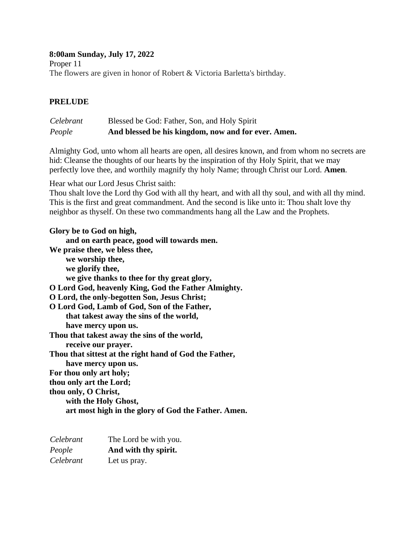### **8:00am Sunday, July 17, 2022** Proper 11

The flowers are given in honor of Robert & Victoria Barletta's birthday.

#### **PRELUDE**

| Celebrant | Blessed be God: Father, Son, and Holy Spirit        |
|-----------|-----------------------------------------------------|
| People    | And blessed be his kingdom, now and for ever. Amen. |

Almighty God, unto whom all hearts are open, all desires known, and from whom no secrets are hid: Cleanse the thoughts of our hearts by the inspiration of thy Holy Spirit, that we may perfectly love thee, and worthily magnify thy holy Name; through Christ our Lord. **Amen***.*

Hear what our Lord Jesus Christ saith:

Thou shalt love the Lord thy God with all thy heart, and with all thy soul, and with all thy mind. This is the first and great commandment. And the second is like unto it: Thou shalt love thy neighbor as thyself. On these two commandments hang all the Law and the Prophets.

**Glory be to God on high, and on earth peace, good will towards men. We praise thee, we bless thee, we worship thee, we glorify thee, we give thanks to thee for thy great glory, O Lord God, heavenly King, God the Father Almighty. O Lord, the only-begotten Son, Jesus Christ; O Lord God, Lamb of God, Son of the Father, that takest away the sins of the world, have mercy upon us. Thou that takest away the sins of the world, receive our prayer. Thou that sittest at the right hand of God the Father, have mercy upon us. For thou only art holy; thou only art the Lord; thou only, O Christ, with the Holy Ghost, art most high in the glory of God the Father. Amen.**

| Celebrant | The Lord be with you. |
|-----------|-----------------------|
| People    | And with thy spirit.  |
| Celebrant | Let us pray.          |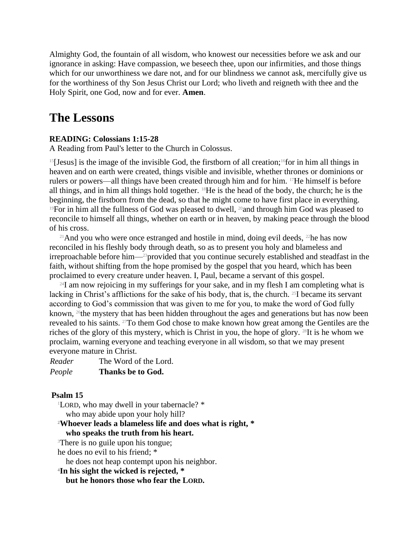Almighty God, the fountain of all wisdom, who knowest our necessities before we ask and our ignorance in asking: Have compassion, we beseech thee, upon our infirmities, and those things which for our unworthiness we dare not, and for our blindness we cannot ask, mercifully give us for the worthiness of thy Son Jesus Christ our Lord; who liveth and reigneth with thee and the Holy Spirit, one God, now and for ever. **Amen**.

## **The Lessons**

#### **READING: Colossians 1:15-28**

A Reading from Paul's letter to the Church in Colossus.

 $15$ [Jesus] is the image of the invisible God, the firstborn of all creation;<sup>16</sup>for in him all things in heaven and on earth were created, things visible and invisible, whether thrones or dominions or rulers or powers—all things have been created through him and for him. 17He himself is before all things, and in him all things hold together. 18He is the head of the body, the church; he is the beginning, the firstborn from the dead, so that he might come to have first place in everything. <sup>19</sup>For in him all the fullness of God was pleased to dwell, <sup>20</sup>and through him God was pleased to reconcile to himself all things, whether on earth or in heaven, by making peace through the blood of his cross.

<sup>21</sup>And you who were once estranged and hostile in mind, doing evil deeds, <sup>22</sup>he has now reconciled in his fleshly body through death, so as to present you holy and blameless and irreproachable before him—23provided that you continue securely established and steadfast in the faith, without shifting from the hope promised by the gospel that you heard, which has been proclaimed to every creature under heaven. I, Paul, became a servant of this gospel.

 $24I$  am now rejoicing in my sufferings for your sake, and in my flesh I am completing what is lacking in Christ's afflictions for the sake of his body, that is, the church. <sup>25</sup>I became its servant according to God's commission that was given to me for you, to make the word of God fully known, <sup>26</sup>the mystery that has been hidden throughout the ages and generations but has now been revealed to his saints. <sup>27</sup>To them God chose to make known how great among the Gentiles are the riches of the glory of this mystery, which is Christ in you, the hope of glory. 28It is he whom we proclaim, warning everyone and teaching everyone in all wisdom, so that we may present everyone mature in Christ.

| Reader |  |  |  | The Word of the Lord. |  |
|--------|--|--|--|-----------------------|--|
|        |  |  |  |                       |  |

#### *People* **Thanks be to God.**

#### **Psalm 15**

<sup>1</sup>LORD, who may dwell in your tabernacle? \* who may abide upon your holy hill? **<sup>2</sup>Whoever leads a blameless life and does what is right, \* who speaks the truth from his heart.** <sup>3</sup>There is no guile upon his tongue; he does no evil to his friend; \*

he does not heap contempt upon his neighbor.

#### **4 In his sight the wicked is rejected, \***

**but he honors those who fear the LORD.**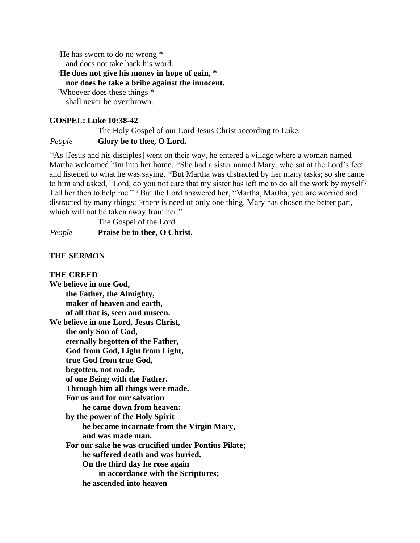<sup>5</sup>He has sworn to do no wrong \*

and does not take back his word.

**<sup>6</sup>He does not give his money in hope of gain, \***

**nor does he take a bribe against the innocent.**

<sup>7</sup>Whoever does these things \* shall never be overthrown.

#### **GOSPEL: Luke 10:38-42**

The Holy Gospel of our Lord Jesus Christ according to Luke.

#### *People* **Glory be to thee, O Lord.**

<sup>38</sup>As [Jesus and his disciples] went on their way, he entered a village where a woman named Martha welcomed him into her home. <sup>39</sup>She had a sister named Mary, who sat at the Lord's feet and listened to what he was saying. <sup>40</sup>But Martha was distracted by her many tasks; so she came to him and asked, "Lord, do you not care that my sister has left me to do all the work by myself? Tell her then to help me." 41But the Lord answered her, "Martha, Martha, you are worried and distracted by many things; <sup>42</sup>there is need of only one thing. Mary has chosen the better part, which will not be taken away from her."

The Gospel of the Lord. *People* **Praise be to thee, O Christ.**

#### **THE SERMON**

**THE CREED We believe in one God, the Father, the Almighty, maker of heaven and earth, of all that is, seen and unseen. We believe in one Lord, Jesus Christ, the only Son of God, eternally begotten of the Father, God from God, Light from Light, true God from true God, begotten, not made, of one Being with the Father. Through him all things were made. For us and for our salvation he came down from heaven: by the power of the Holy Spirit he became incarnate from the Virgin Mary, and was made man. For our sake he was crucified under Pontius Pilate; he suffered death and was buried. On the third day he rose again in accordance with the Scriptures; he ascended into heaven**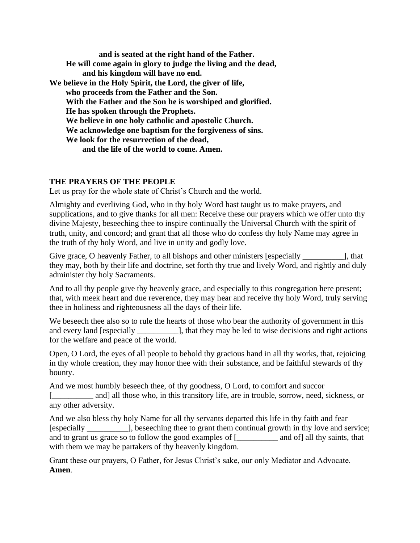**and is seated at the right hand of the Father. He will come again in glory to judge the living and the dead, and his kingdom will have no end. We believe in the Holy Spirit, the Lord, the giver of life, who proceeds from the Father and the Son. With the Father and the Son he is worshiped and glorified. He has spoken through the Prophets. We believe in one holy catholic and apostolic Church. We acknowledge one baptism for the forgiveness of sins. We look for the resurrection of the dead, and the life of the world to come. Amen.**

#### **THE PRAYERS OF THE PEOPLE**

Let us pray for the whole state of Christ's Church and the world.

Almighty and everliving God, who in thy holy Word hast taught us to make prayers, and supplications, and to give thanks for all men: Receive these our prayers which we offer unto thy divine Majesty, beseeching thee to inspire continually the Universal Church with the spirit of truth, unity, and concord; and grant that all those who do confess thy holy Name may agree in the truth of thy holy Word, and live in unity and godly love.

Give grace, O heavenly Father, to all bishops and other ministers [especially \_\_\_\_\_\_\_\_\_\_\_\_], that they may, both by their life and doctrine, set forth thy true and lively Word, and rightly and duly administer thy holy Sacraments.

And to all thy people give thy heavenly grace, and especially to this congregation here present; that, with meek heart and due reverence, they may hear and receive thy holy Word, truly serving thee in holiness and righteousness all the days of their life.

We beseech thee also so to rule the hearts of those who bear the authority of government in this and every land [especially \_\_\_\_\_\_\_\_\_\_], that they may be led to wise decisions and right actions for the welfare and peace of the world.

Open, O Lord, the eyes of all people to behold thy gracious hand in all thy works, that, rejoicing in thy whole creation, they may honor thee with their substance, and be faithful stewards of thy bounty.

And we most humbly beseech thee, of thy goodness, O Lord, to comfort and succor [\_\_\_\_\_\_\_\_ and] all those who, in this transitory life, are in trouble, sorrow, need, sickness, or any other adversity.

And we also bless thy holy Name for all thy servants departed this life in thy faith and fear [especially \_\_\_\_\_\_\_\_\_\_], beseeching thee to grant them continual growth in thy love and service; and to grant us grace so to follow the good examples of [\_\_\_\_\_\_\_\_\_\_ and of] all thy saints, that with them we may be partakers of thy heavenly kingdom.

Grant these our prayers, O Father, for Jesus Christ's sake, our only Mediator and Advocate. **Amen***.*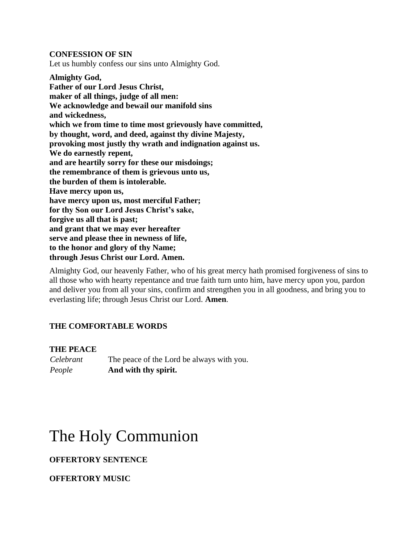**CONFESSION OF SIN** Let us humbly confess our sins unto Almighty God.

**Almighty God, Father of our Lord Jesus Christ, maker of all things, judge of all men: We acknowledge and bewail our manifold sins and wickedness, which we from time to time most grievously have committed, by thought, word, and deed, against thy divine Majesty, provoking most justly thy wrath and indignation against us. We do earnestly repent, and are heartily sorry for these our misdoings; the remembrance of them is grievous unto us, the burden of them is intolerable. Have mercy upon us, have mercy upon us, most merciful Father; for thy Son our Lord Jesus Christ's sake, forgive us all that is past; and grant that we may ever hereafter serve and please thee in newness of life, to the honor and glory of thy Name; through Jesus Christ our Lord. Amen.**

Almighty God, our heavenly Father, who of his great mercy hath promised forgiveness of sins to all those who with hearty repentance and true faith turn unto him, have mercy upon you, pardon and deliver you from all your sins, confirm and strengthen you in all goodness, and bring you to everlasting life; through Jesus Christ our Lord. **Amen***.*

#### **THE COMFORTABLE WORDS**

#### **THE PEACE**

*Celebrant* The peace of the Lord be always with you. *People* **And with thy spirit.**

# The Holy Communion

#### **OFFERTORY SENTENCE**

#### **OFFERTORY MUSIC**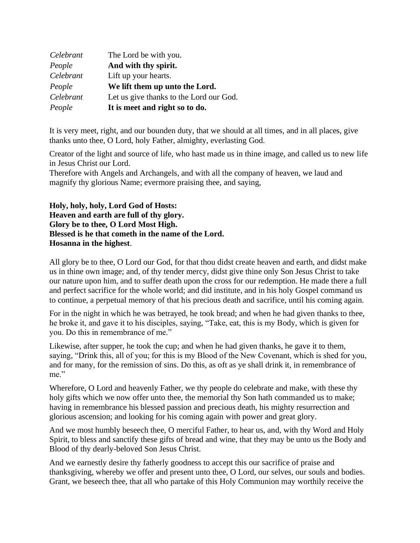| Celebrant | The Lord be with you.                   |
|-----------|-----------------------------------------|
| People    | And with thy spirit.                    |
| Celebrant | Lift up your hearts.                    |
| People    | We lift them up unto the Lord.          |
| Celebrant | Let us give thanks to the Lord our God. |
| People    | It is meet and right so to do.          |

It is very meet, right, and our bounden duty, that we should at all times, and in all places, give thanks unto thee, O Lord, holy Father, almighty, everlasting God.

Creator of the light and source of life, who hast made us in thine image, and called us to new life in Jesus Christ our Lord.

Therefore with Angels and Archangels, and with all the company of heaven, we laud and magnify thy glorious Name; evermore praising thee, and saying,

**Holy, holy, holy, Lord God of Hosts: Heaven and earth are full of thy glory. Glory be to thee, O Lord Most High. Blessed is he that cometh in the name of the Lord. Hosanna in the highest**.

All glory be to thee, O Lord our God, for that thou didst create heaven and earth, and didst make us in thine own image; and, of thy tender mercy, didst give thine only Son Jesus Christ to take our nature upon him, and to suffer death upon the cross for our redemption. He made there a full and perfect sacrifice for the whole world; and did institute, and in his holy Gospel command us to continue, a perpetual memory of that his precious death and sacrifice, until his coming again.

For in the night in which he was betrayed, he took bread; and when he had given thanks to thee, he broke it, and gave it to his disciples, saying, "Take, eat, this is my Body, which is given for you. Do this in remembrance of me."

Likewise, after supper, he took the cup; and when he had given thanks, he gave it to them, saying, "Drink this, all of you; for this is my Blood of the New Covenant, which is shed for you, and for many, for the remission of sins. Do this, as oft as ye shall drink it, in remembrance of me."

Wherefore, O Lord and heavenly Father, we thy people do celebrate and make, with these thy holy gifts which we now offer unto thee, the memorial thy Son hath commanded us to make; having in remembrance his blessed passion and precious death, his mighty resurrection and glorious ascension; and looking for his coming again with power and great glory.

And we most humbly beseech thee, O merciful Father, to hear us, and, with thy Word and Holy Spirit, to bless and sanctify these gifts of bread and wine, that they may be unto us the Body and Blood of thy dearly-beloved Son Jesus Christ.

And we earnestly desire thy fatherly goodness to accept this our sacrifice of praise and thanksgiving, whereby we offer and present unto thee, O Lord, our selves, our souls and bodies. Grant, we beseech thee, that all who partake of this Holy Communion may worthily receive the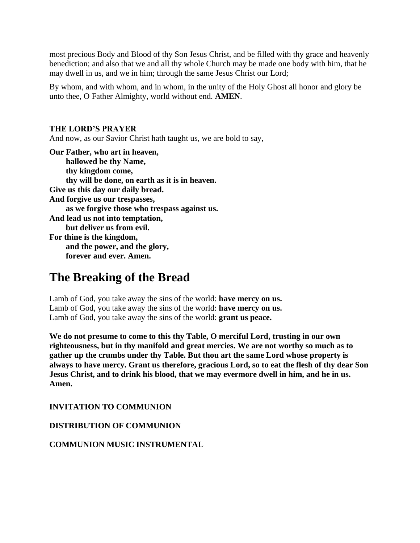most precious Body and Blood of thy Son Jesus Christ, and be filled with thy grace and heavenly benediction; and also that we and all thy whole Church may be made one body with him, that he may dwell in us, and we in him; through the same Jesus Christ our Lord;

By whom, and with whom, and in whom, in the unity of the Holy Ghost all honor and glory be unto thee, O Father Almighty, world without end. **AMEN***.*

#### **THE LORD'S PRAYER**

And now, as our Savior Christ hath taught us, we are bold to say,

**Our Father, who art in heaven, hallowed be thy Name, thy kingdom come, thy will be done, on earth as it is in heaven. Give us this day our daily bread. And forgive us our trespasses, as we forgive those who trespass against us. And lead us not into temptation, but deliver us from evil. For thine is the kingdom, and the power, and the glory, forever and ever. Amen.**

# **The Breaking of the Bread**

Lamb of God, you take away the sins of the world: **have mercy on us.** Lamb of God, you take away the sins of the world: **have mercy on us.** Lamb of God, you take away the sins of the world: **grant us peace.**

**We do not presume to come to this thy Table, O merciful Lord, trusting in our own righteousness, but in thy manifold and great mercies. We are not worthy so much as to gather up the crumbs under thy Table. But thou art the same Lord whose property is always to have mercy. Grant us therefore, gracious Lord, so to eat the flesh of thy dear Son Jesus Christ, and to drink his blood, that we may evermore dwell in him, and he in us. Amen.**

**INVITATION TO COMMUNION**

**DISTRIBUTION OF COMMUNION**

**COMMUNION MUSIC INSTRUMENTAL**